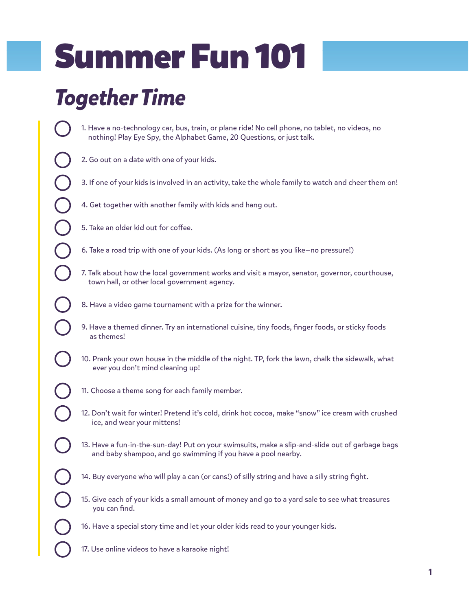## Summer Fun 101

## *Together Time*

- 1. Have a no-technology car, bus, train, or plane ride! No cell phone, no tablet, no videos, no nothing! Play Eye Spy, the Alphabet Game, 20 Questions, or just talk.
- 2. Go out on a date with one of your kids.
- 3. If one of your kids is involved in an activity, take the whole family to watch and cheer them on!
- 4. Get together with another family with kids and hang out.
- 5. Take an older kid out for coffee.
- 6. Take a road trip with one of your kids. (As long or short as you like—no pressure!)
- 7. Talk about how the local government works and visit a mayor, senator, governor, courthouse, town hall, or other local government agency.
- 8. Have a video game tournament with a prize for the winner.
- 9. Have a themed dinner. Try an international cuisine, tiny foods, finger foods, or sticky foods as themes!
- 10. Prank your own house in the middle of the night. TP, fork the lawn, chalk the sidewalk, what ever you don't mind cleaning up!
- 11. Choose a theme song for each family member.
- 12. Don't wait for winter! Pretend it's cold, drink hot cocoa, make "snow" ice cream with crushed ice, and wear your mittens!
- 13. Have a fun-in-the-sun-day! Put on your swimsuits, make a slip-and-slide out of garbage bags and baby shampoo, and go swimming if you have a pool nearby.
- 14. Buy everyone who will play a can (or cans!) of silly string and have a silly string fight.
- 15. Give each of your kids a small amount of money and go to a yard sale to see what treasures you can find.
- 16. Have a special story time and let your older kids read to your younger kids.
- 17. Use online videos to have a karaoke night!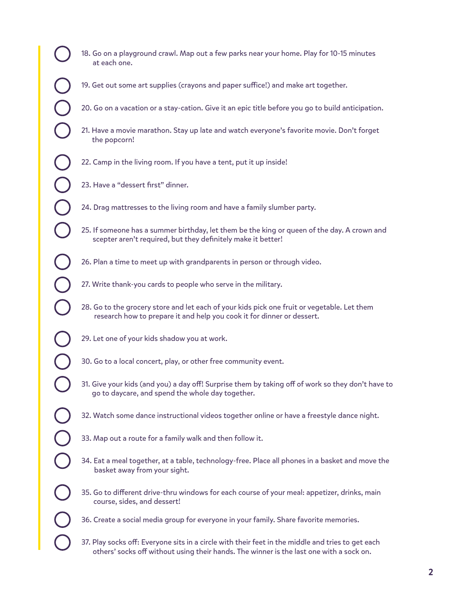- 18. Go on a playground crawl. Map out a few parks near your home. Play for 10-15 minutes at each one.
- 19. Get out some art supplies (crayons and paper suffice!) and make art together.
- 20. Go on a vacation or a stay-cation. Give it an epic title before you go to build anticipation.
- 21. Have a movie marathon. Stay up late and watch everyone's favorite movie. Don't forget the popcorn!
- 22. Camp in the living room. If you have a tent, put it up inside!
- 23. Have a "dessert first" dinner.
- 24. Drag mattresses to the living room and have a family slumber party.
- 25. If someone has a summer birthday, let them be the king or queen of the day. A crown and scepter aren't required, but they definitely make it better!
- 26. Plan a time to meet up with grandparents in person or through video.
- 27. Write thank-you cards to people who serve in the military.
- 28. Go to the grocery store and let each of your kids pick one fruit or vegetable. Let them research how to prepare it and help you cook it for dinner or dessert.
- 29. Let one of your kids shadow you at work.
- 30. Go to a local concert, play, or other free community event.
- 31. Give your kids (and you) a day off! Surprise them by taking off of work so they don't have to go to daycare, and spend the whole day together.
- 32. Watch some dance instructional videos together online or have a freestyle dance night.
- 33. Map out a route for a family walk and then follow it.
- 34. Eat a meal together, at a table, technology-free. Place all phones in a basket and move the basket away from your sight.
- 35. Go to different drive-thru windows for each course of your meal: appetizer, drinks, main course, sides, and dessert!
- 36. Create a social media group for everyone in your family. Share favorite memories.
- 37. Play socks off: Everyone sits in a circle with their feet in the middle and tries to get each others' socks off without using their hands. The winner is the last one with a sock on.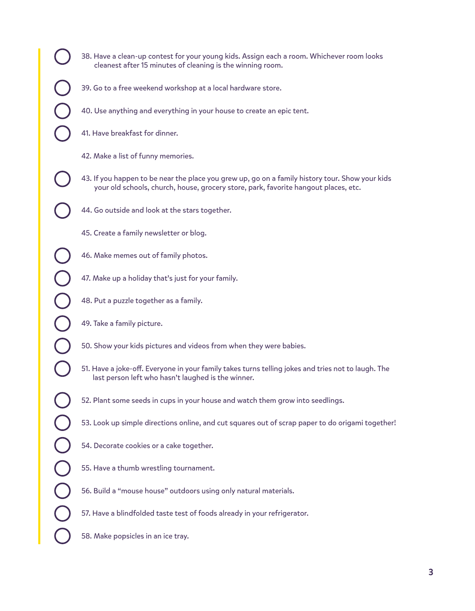- 
- 38. Have a clean-up contest for your young kids. Assign each a room. Whichever room looks cleanest after 15 minutes of cleaning is the winning room.
- 39. Go to a free weekend workshop at a local hardware store.
- 40. Use anything and everything in your house to create an epic tent.
- 41. Have breakfast for dinner.
- 42. Make a list of funny memories.
- 43. If you happen to be near the place you grew up, go on a family history tour. Show your kids your old schools, church, house, grocery store, park, favorite hangout places, etc.
- 44. Go outside and look at the stars together.
	- 45. Create a family newsletter or blog.
	- 46. Make memes out of family photos.
	- 47. Make up a holiday that's just for your family.
	- 48. Put a puzzle together as a family.
	- 49. Take a family picture.
	- 50. Show your kids pictures and videos from when they were babies.
	- 51. Have a joke-off. Everyone in your family takes turns telling jokes and tries not to laugh. The last person left who hasn't laughed is the winner.
	- 52. Plant some seeds in cups in your house and watch them grow into seedlings.
	- 53. Look up simple directions online, and cut squares out of scrap paper to do origami together!
	- 54. Decorate cookies or a cake together.
	- 55. Have a thumb wrestling tournament.
	- 56. Build a "mouse house" outdoors using only natural materials.
	- 57. Have a blindfolded taste test of foods already in your refrigerator.
	- 58. Make popsicles in an ice tray.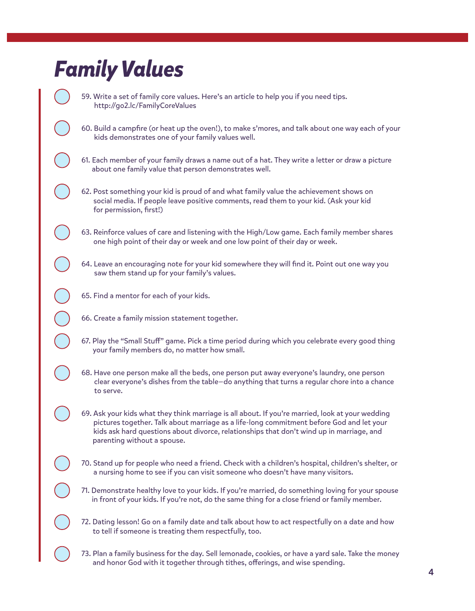## *Family Values*

59. Write a set of family core values. Here's an article to help you if you need tips. http://go2.lc/FamilyCoreValues

60. Build a campfire (or heat up the oven!), to make s'mores, and talk about one way each of your kids demonstrates one of your family values well.

61. Each member of your family draws a name out of a hat. They write a letter or draw a picture about one family value that person demonstrates well.

62. Post something your kid is proud of and what family value the achievement shows on social media. If people leave positive comments, read them to your kid. (Ask your kid for permission, first!)

63. Reinforce values of care and listening with the High/Low game. Each family member shares one high point of their day or week and one low point of their day or week.

64. Leave an encouraging note for your kid somewhere they will find it. Point out one way you saw them stand up for your family's values.

- 65. Find a mentor for each of your kids.
- 66. Create a family mission statement together.
- 67. Play the "Small Stuff" game. Pick a time period during which you celebrate every good thing your family members do, no matter how small.
- 68. Have one person make all the beds, one person put away everyone's laundry, one person clear everyone's dishes from the table—do anything that turns a regular chore into a chance to serve.

69. Ask your kids what they think marriage is all about. If you're married, look at your wedding pictures together. Talk about marriage as a life-long commitment before God and let your kids ask hard questions about divorce, relationships that don't wind up in marriage, and parenting without a spouse.

70. Stand up for people who need a friend. Check with a children's hospital, children's shelter, or a nursing home to see if you can visit someone who doesn't have many visitors.

71. Demonstrate healthy love to your kids. If you're married, do something loving for your spouse in front of your kids. If you're not, do the same thing for a close friend or family member.

72. Dating lesson! Go on a family date and talk about how to act respectfully on a date and how to tell if someone is treating them respectfully, too.

73. Plan a family business for the day. Sell lemonade, cookies, or have a yard sale. Take the money and honor God with it together through tithes, offerings, and wise spending.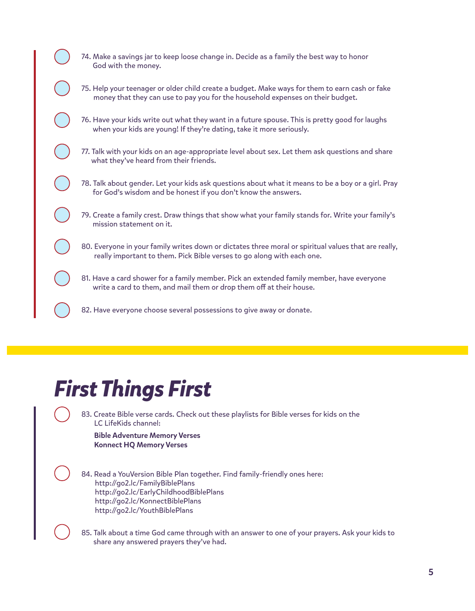| 74. Make a savings jar to keep loose change in. Decide as a family the best way to honor<br>God with the money.                                                                  |
|----------------------------------------------------------------------------------------------------------------------------------------------------------------------------------|
| 75. Help your teenager or older child create a budget. Make ways for them to earn cash or fake<br>money that they can use to pay you for the household expenses on their budget. |
| 76. Have your kids write out what they want in a future spouse. This is pretty good for laughs<br>when your kids are young! If they're dating, take it more seriously.           |
| 77. Talk with your kids on an age-appropriate level about sex. Let them ask questions and share<br>what they've heard from their friends.                                        |
| 78. Talk about gender. Let your kids ask questions about what it means to be a boy or a girl. Pray<br>for God's wisdom and be honest if you don't know the answers.              |
| 79. Create a family crest. Draw things that show what your family stands for. Write your family's<br>mission statement on it.                                                    |
| 80. Everyone in your family writes down or dictates three moral or spiritual values that are really,<br>really important to them. Pick Bible verses to go along with each one.   |
| 81. Have a card shower for a family member. Pick an extended family member, have everyone<br>write a card to them, and mail them or drop them off at their house.                |
| 82. Have everyone choose several possessions to give away or donate.                                                                                                             |

## *First Things First*

83. Create Bible verse cards. Check out these playlists for Bible verses for kids on the LC LifeKids channel:

Bible Adventure Memory Verses Konnect HQ Memory Verses

84. Read a YouVersion Bible Plan together. Find family-friendly ones here: http://go2.lc/FamilyBiblePlans http://go2.lc/EarlyChildhoodBiblePlans http://go2.lc/KonnectBiblePlans http://go2.lc/YouthBiblePlans

85. Talk about a time God came through with an answer to one of your prayers. Ask your kids to share any answered prayers they've had.